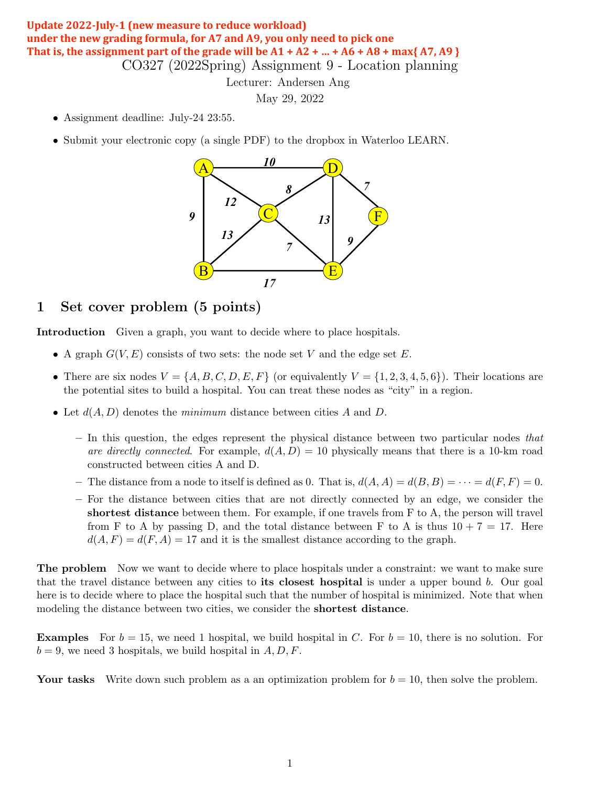## CO327 (2022Spring) Assignment 9 - Location planning **Update 2022-July-1 (new measure to reduce workload)** under the new grading formula, for A7 and A9, you only need to pick one That is, the assignment part of the grade will be  $A1 + A2 + ... + A6 + A8 + \max\{A7, A9\}$

### Lecturer: Andersen Ang

May 29, 2022  $\text{May } 29, 2022$ 

- Assignment deadline: July-24 23:55.
- Submit your electronic copy (a single PDF) to the dropbox in Waterloo LEARN.



## 1 Set cover problem (5 points)

Introduction Given a graph, you want to decide where to place hospitals.

- A graph  $G(V, E)$  consists of two sets: the node set V and the edge set E.
- There are six nodes  $V = \{A, B, C, D, E, F\}$  (or equivalently  $V = \{1, 2, 3, 4, 5, 6\}$ ). Their locations are the potential sites to build a hospital. You can treat these nodes as "city" in a region.
- Let  $d(A, D)$  denotes the *minimum* distance between cities  $A$  and  $D$ .
	- $-$  In this question, the edges represent the physical distance between two particular nodes that are directly connected. For example,  $d(A, D) = 10$  physically means that there is a 10-km road constructed between cities A and D.
	- The distance from a node to itself is defined as 0. That is,  $d(A, A) = d(B, B) = \cdots = d(F, F) = 0$ .
	- For the distance between cities that are not directly connected by an edge, we consider the shortest distance between them. For example, if one travels from  $F$  to  $A$ , the person will travel from F to A by passing D, and the total distance between F to A is thus  $10 + 7 = 17$ . Here  $d(A, F) = d(F, A) = 17$  and it is the smallest distance according to the graph.

The problem Now we want to decide where to place hospitals under a constraint: we want to make sure that the travel distance between any cities to its closest hospital is under a upper bound  $b$ . Our goal here is to decide where to place the hospital such that the number of hospital is minimized. Note that when modeling the distance between two cities, we consider the shortest distance.

**Examples** For  $b = 15$ , we need 1 hospital, we build hospital in C. For  $b = 10$ , there is no solution. For  $b = 9$ , we need 3 hospitals, we build hospital in  $A, D, F$ .

Your tasks Write down such problem as a an optimization problem for  $b = 10$ , then solve the problem.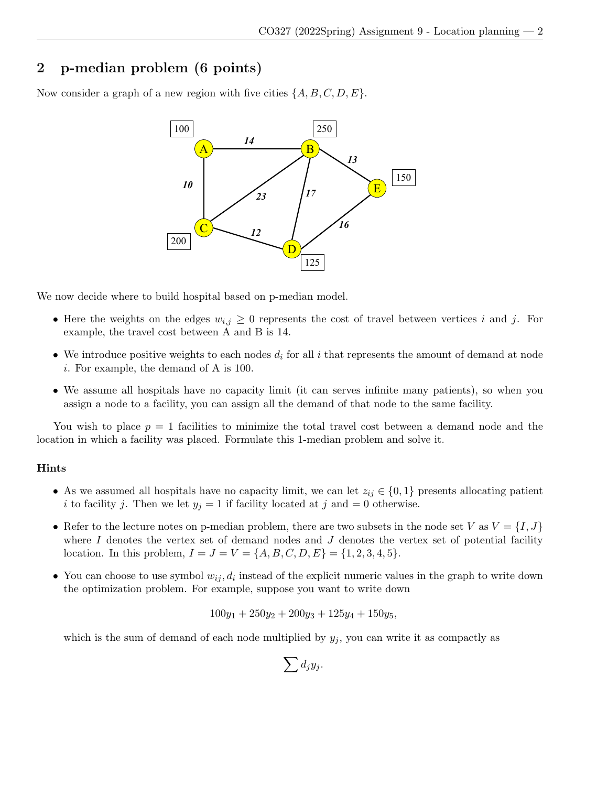# 2 p-median problem (6 points)

Now consider a graph of a new region with five cities  $\{A, B, C, D, E\}$ .



We now decide where to build hospital based on p-median model.

- Here the weights on the edges  $w_{i,j} \geq 0$  represents the cost of travel between vertices i and j. For example, the travel cost between A and B is 14.
- We introduce positive weights to each nodes  $d_i$  for all i that represents the amount of demand at node i. For example, the demand of A is 100.
- We assume all hospitals have no capacity limit (it can serves infinite many patients), so when you assign a node to a facility, you can assign all the demand of that node to the same facility.

You wish to place  $p = 1$  facilities to minimize the total travel cost between a demand node and the location in which a facility was placed. Formulate this 1-median problem and solve it.

#### Hints

- As we assumed all hospitals have no capacity limit, we can let  $z_{ij} \in \{0,1\}$  presents allocating patient i to facility j. Then we let  $y_j = 1$  if facility located at j and  $= 0$  otherwise.
- Refer to the lecture notes on p-median problem, there are two subsets in the node set V as  $V = \{I, J\}$ where  $I$  denotes the vertex set of demand nodes and  $J$  denotes the vertex set of potential facility location. In this problem,  $I = J = V = \{A, B, C, D, E\} = \{1, 2, 3, 4, 5\}.$
- You can choose to use symbol  $w_{ij}, d_i$  instead of the explicit numeric values in the graph to write down the optimization problem. For example, suppose you want to write down

$$
100y_1 + 250y_2 + 200y_3 + 125y_4 + 150y_5,
$$

which is the sum of demand of each node multiplied by  $y_j$ , you can write it as compactly as

$$
\sum d_jy_j.
$$